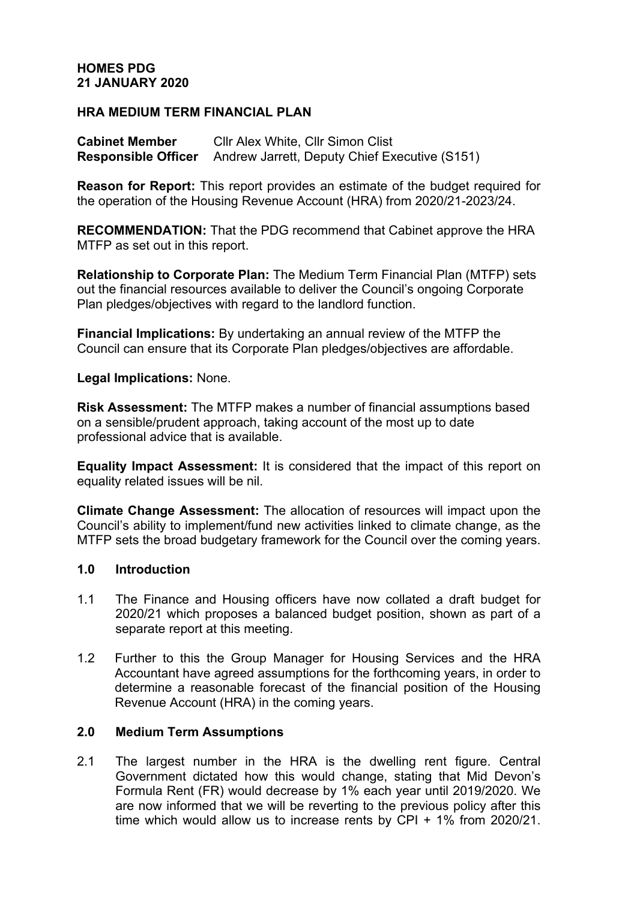## **HOMES PDG 21 JANUARY 2020**

## **HRA MEDIUM TERM FINANCIAL PLAN**

**Cabinet Member** Cllr Alex White, Cllr Simon Clist **Responsible Officer** Andrew Jarrett, Deputy Chief Executive (S151)

**Reason for Report:** This report provides an estimate of the budget required for the operation of the Housing Revenue Account (HRA) from 2020/21-2023/24.

**RECOMMENDATION:** That the PDG recommend that Cabinet approve the HRA MTFP as set out in this report.

**Relationship to Corporate Plan:** The Medium Term Financial Plan (MTFP) sets out the financial resources available to deliver the Council's ongoing Corporate Plan pledges/objectives with regard to the landlord function.

**Financial Implications:** By undertaking an annual review of the MTFP the Council can ensure that its Corporate Plan pledges/objectives are affordable.

**Legal Implications:** None.

**Risk Assessment:** The MTFP makes a number of financial assumptions based on a sensible/prudent approach, taking account of the most up to date professional advice that is available.

**Equality Impact Assessment:** It is considered that the impact of this report on equality related issues will be nil.

**Climate Change Assessment:** The allocation of resources will impact upon the Council's ability to implement/fund new activities linked to climate change, as the MTFP sets the broad budgetary framework for the Council over the coming years.

#### **1.0 Introduction**

- 1.1 The Finance and Housing officers have now collated a draft budget for 2020/21 which proposes a balanced budget position, shown as part of a separate report at this meeting.
- 1.2 Further to this the Group Manager for Housing Services and the HRA Accountant have agreed assumptions for the forthcoming years, in order to determine a reasonable forecast of the financial position of the Housing Revenue Account (HRA) in the coming years.

### **2.0 Medium Term Assumptions**

2.1 The largest number in the HRA is the dwelling rent figure. Central Government dictated how this would change, stating that Mid Devon's Formula Rent (FR) would decrease by 1% each year until 2019/2020. We are now informed that we will be reverting to the previous policy after this time which would allow us to increase rents by CPI + 1% from 2020/21.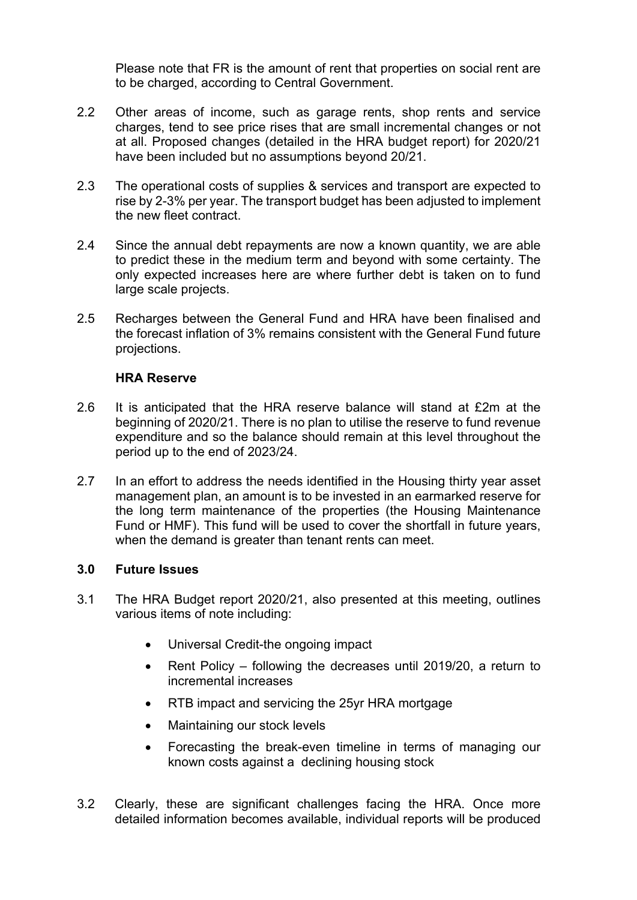Please note that FR is the amount of rent that properties on social rent are to be charged, according to Central Government.

- 2.2 Other areas of income, such as garage rents, shop rents and service charges, tend to see price rises that are small incremental changes or not at all. Proposed changes (detailed in the HRA budget report) for 2020/21 have been included but no assumptions beyond 20/21.
- 2.3 The operational costs of supplies & services and transport are expected to rise by 2-3% per year. The transport budget has been adjusted to implement the new fleet contract.
- 2.4 Since the annual debt repayments are now a known quantity, we are able to predict these in the medium term and beyond with some certainty. The only expected increases here are where further debt is taken on to fund large scale projects.
- 2.5 Recharges between the General Fund and HRA have been finalised and the forecast inflation of 3% remains consistent with the General Fund future projections.

#### **HRA Reserve**

- 2.6 It is anticipated that the HRA reserve balance will stand at £2m at the beginning of 2020/21. There is no plan to utilise the reserve to fund revenue expenditure and so the balance should remain at this level throughout the period up to the end of 2023/24.
- 2.7 In an effort to address the needs identified in the Housing thirty year asset management plan, an amount is to be invested in an earmarked reserve for the long term maintenance of the properties (the Housing Maintenance Fund or HMF). This fund will be used to cover the shortfall in future years, when the demand is greater than tenant rents can meet.

# **3.0 Future Issues**

- 3.1 The HRA Budget report 2020/21, also presented at this meeting, outlines various items of note including:
	- Universal Credit-the ongoing impact
	- Rent Policy following the decreases until 2019/20, a return to incremental increases
	- RTB impact and servicing the 25yr HRA mortgage
	- Maintaining our stock levels
	- Forecasting the break-even timeline in terms of managing our known costs against a declining housing stock
- 3.2 Clearly, these are significant challenges facing the HRA. Once more detailed information becomes available, individual reports will be produced